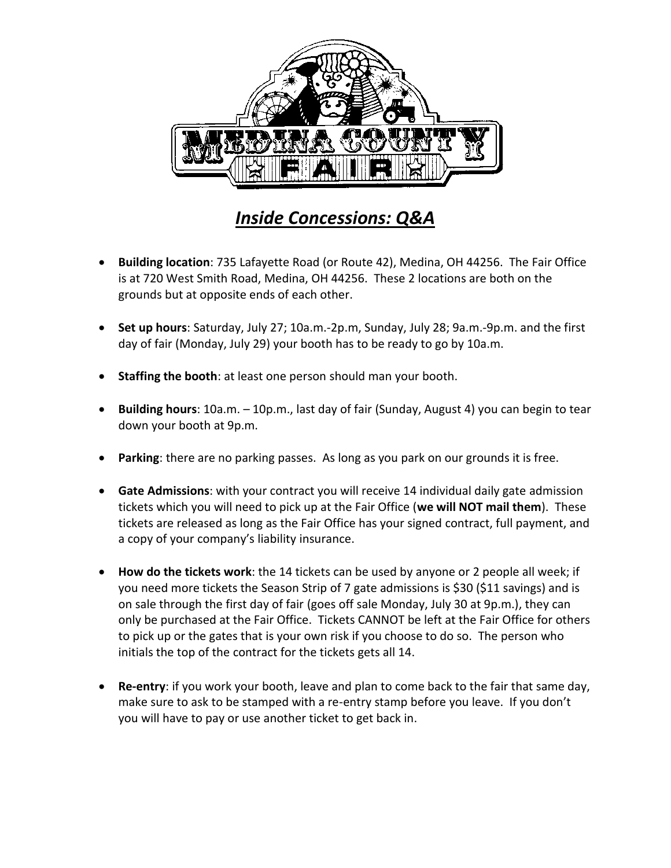

## *Inside Concessions: Q&A*

- **Building location**: 735 Lafayette Road (or Route 42), Medina, OH 44256. The Fair Office is at 720 West Smith Road, Medina, OH 44256. These 2 locations are both on the grounds but at opposite ends of each other.
- **Set up hours**: Saturday, July 27; 10a.m.-2p.m, Sunday, July 28; 9a.m.-9p.m. and the first day of fair (Monday, July 29) your booth has to be ready to go by 10a.m.
- **Staffing the booth**: at least one person should man your booth.
- **Building hours**: 10a.m. 10p.m., last day of fair (Sunday, August 4) you can begin to tear down your booth at 9p.m.
- Parking: there are no parking passes. As long as you park on our grounds it is free.
- **Gate Admissions**: with your contract you will receive 14 individual daily gate admission tickets which you will need to pick up at the Fair Office (**we will NOT mail them**). These tickets are released as long as the Fair Office has your signed contract, full payment, and a copy of your company's liability insurance.
- **How do the tickets work**: the 14 tickets can be used by anyone or 2 people all week; if you need more tickets the Season Strip of 7 gate admissions is \$30 (\$11 savings) and is on sale through the first day of fair (goes off sale Monday, July 30 at 9p.m.), they can only be purchased at the Fair Office. Tickets CANNOT be left at the Fair Office for others to pick up or the gates that is your own risk if you choose to do so. The person who initials the top of the contract for the tickets gets all 14.
- **Re-entry**: if you work your booth, leave and plan to come back to the fair that same day, make sure to ask to be stamped with a re-entry stamp before you leave. If you don't you will have to pay or use another ticket to get back in.